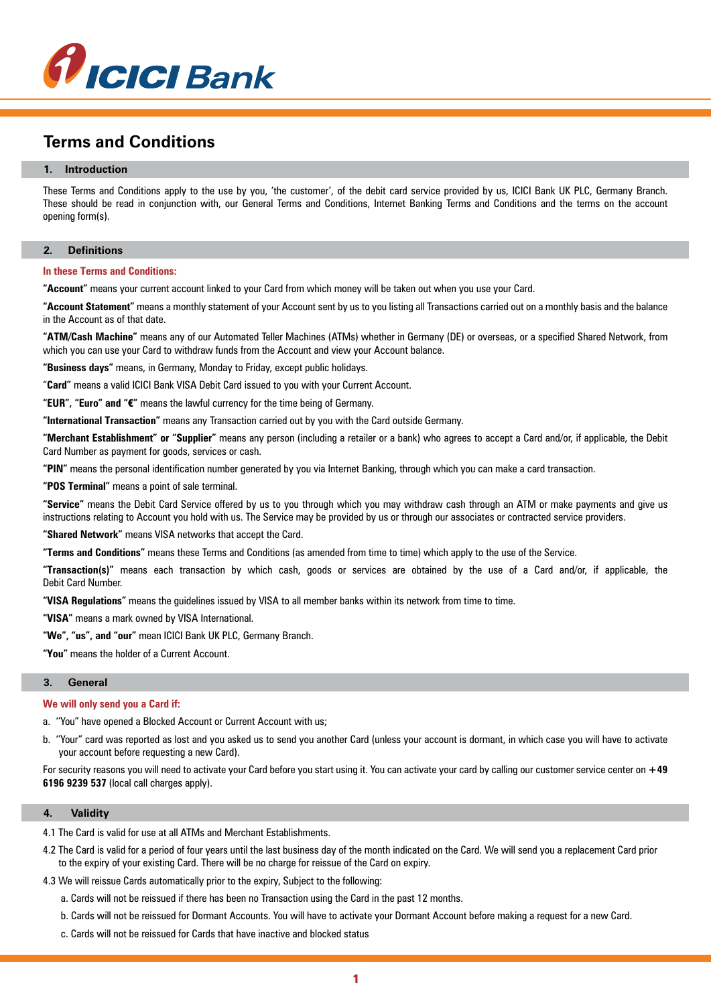

# **Terms and Conditions**

# **1. Introduction**

These Terms and Conditions apply to the use by you, 'the customer', of the debit card service provided by us, ICICI Bank UK PLC, Germany Branch. These should be read in conjunction with, our General Terms and Conditions, Internet Banking Terms and Conditions and the terms on the account opening form(s).

#### **2. Definitions**

### **In these Terms and Conditions:**

**"Account"** means your current account linked to your Card from which money will be taken out when you use your Card.

**"Account Statement"** means a monthly statement of your Account sent by us to you listing all Transactions carried out on a monthly basis and the balance in the Account as of that date.

**"ATM/Cash Machine"** means any of our Automated Teller Machines (ATMs) whether in Germany (DE) or overseas, or a specified Shared Network, from which you can use your Card to withdraw funds from the Account and view your Account balance.

**"Business days"** means, in Germany, Monday to Friday, except public holidays.

"**Card"** means a valid ICICI Bank VISA Debit Card issued to you with your Current Account.

**"EUR", "Euro" and "**€**"** means the lawful currency for the time being of Germany.

**"International Transaction"** means any Transaction carried out by you with the Card outside Germany.

**"Merchant Establishment" or "Supplier"** means any person (including a retailer or a bank) who agrees to accept a Card and/or, if applicable, the Debit Card Number as payment for goods, services or cash.

**"PIN"** means the personal identification number generated by you via Internet Banking, through which you can make a card transaction.

**"POS Terminal"** means a point of sale terminal.

**"Service"** means the Debit Card Service offered by us to you through which you may withdraw cash through an ATM or make payments and give us instructions relating to Account you hold with us. The Service may be provided by us or through our associates or contracted service providers.

**"Shared Network"** means VISA networks that accept the Card.

**"Terms and Conditions"** means these Terms and Conditions (as amended from time to time) which apply to the use of the Service.

**"Transaction(s)"** means each transaction by which cash, goods or services are obtained by the use of a Card and/or, if applicable, the Debit Card Number.

**"VISA Regulations"** means the guidelines issued by VISA to all member banks within its network from time to time.

**"VISA"** means a mark owned by VISA International.

**"We", "us", and "our"** mean ICICI Bank UK PLC, Germany Branch.

**"You"** means the holder of a Current Account.

#### **3. General**

#### **We will only send you a Card if:**

a. ''You" have opened a Blocked Account or Current Account with us;

b. ''Your" card was reported as lost and you asked us to send you another Card (unless your account is dormant, in which case you will have to activate your account before requesting a new Card).

For security reasons you will need to activate your Card before you start using it. You can activate your card by calling our customer service center on **+49 6196 9239 537** (local call charges apply).

# **4. Validity**

- 4.1 The Card is valid for use at all ATMs and Merchant Establishments.
- 4.2 The Card is valid for a period of four years until the last business day of the month indicated on the Card. We will send you a replacement Card prior to the expiry of your existing Card. There will be no charge for reissue of the Card on expiry.
- 4.3 We will reissue Cards automatically prior to the expiry, Subject to the following:
	- a. Cards will not be reissued if there has been no Transaction using the Card in the past 12 months.
	- b. Cards will not be reissued for Dormant Accounts. You will have to activate your Dormant Account before making a request for a new Card.
	- c. Cards will not be reissued for Cards that have inactive and blocked status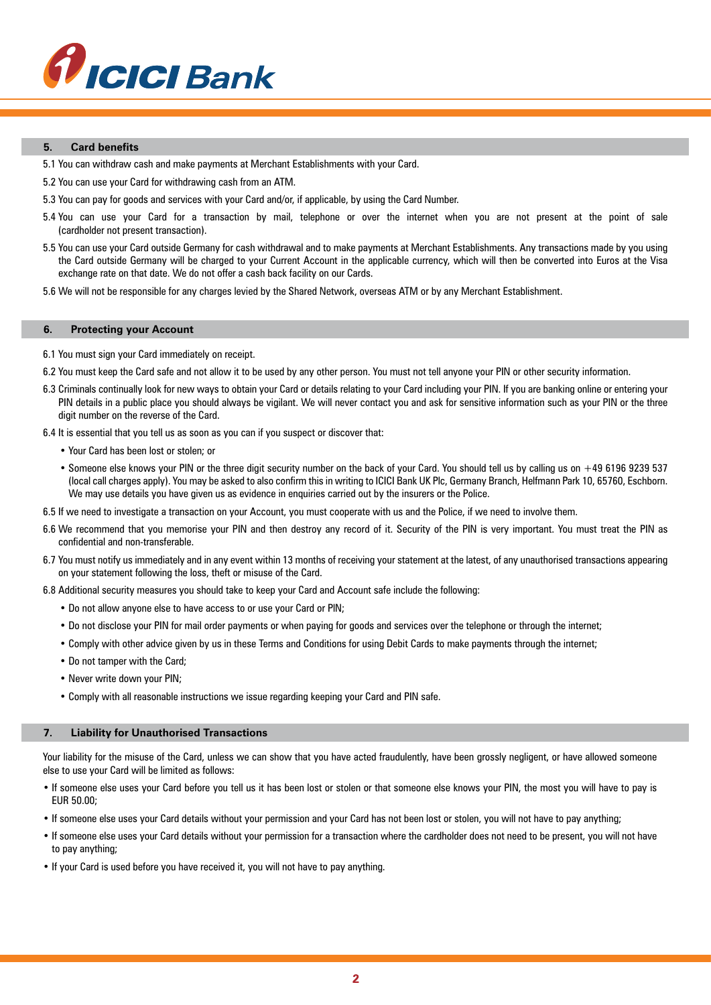

#### **5. Card benefits**

- 5.1 You can withdraw cash and make payments at Merchant Establishments with your Card.
- 5.2 You can use your Card for withdrawing cash from an ATM.
- 5.3 You can pay for goods and services with your Card and/or, if applicable, by using the Card Number.
- 5.4 You can use your Card for a transaction by mail, telephone or over the internet when you are not present at the point of sale (cardholder not present transaction).
- 5.5 You can use your Card outside Germany for cash withdrawal and to make payments at Merchant Establishments. Any transactions made by you using the Card outside Germany will be charged to your Current Account in the applicable currency, which will then be converted into Euros at the Visa exchange rate on that date. We do not offer a cash back facility on our Cards.
- 5.6 We will not be responsible for any charges levied by the Shared Network, overseas ATM or by any Merchant Establishment.

#### **6. Protecting your Account**

- 6.1 You must sign your Card immediately on receipt.
- 6.2 You must keep the Card safe and not allow it to be used by any other person. You must not tell anyone your PIN or other security information.
- 6.3 Criminals continually look for new ways to obtain your Card or details relating to your Card including your PIN. If you are banking online or entering your PIN details in a public place you should always be vigilant. We will never contact you and ask for sensitive information such as your PIN or the three digit number on the reverse of the Card.
- 6.4 It is essential that you tell us as soon as you can if you suspect or discover that:
	- Your Card has been lost or stolen; or
	- Someone else knows your PIN or the three digit security number on the back of your Card. You should tell us by calling us on +49 6196 9239 537 (local call charges apply). You may be asked to also confirm this in writing to ICICI Bank UK Plc, Germany Branch, Helfmann Park 10, 65760, Eschborn. We may use details you have given us as evidence in enquiries carried out by the insurers or the Police.
- 6.5 If we need to investigate a transaction on your Account, you must cooperate with us and the Police, if we need to involve them.
- 6.6 We recommend that you memorise your PIN and then destroy any record of it. Security of the PIN is very important. You must treat the PIN as confidential and non-transferable.
- 6.7 You must notify us immediately and in any event within 13 months of receiving your statement at the latest, of any unauthorised transactions appearing on your statement following the loss, theft or misuse of the Card.
- 6.8 Additional security measures you should take to keep your Card and Account safe include the following:
	- Do not allow anyone else to have access to or use your Card or PlN;
	- Do not disclose your PIN for mail order payments or when paying for goods and services over the telephone or through the internet;
	- Comply with other advice given by us in these Terms and Conditions for using Debit Cards to make payments through the internet;
	- Do not tamper with the Card;
	- Never write down your PIN;
	- Comply with all reasonable instructions we issue regarding keeping your Card and PIN safe.

#### **7. Liability for Unauthorised Transactions**

Your liability for the misuse of the Card, unless we can show that you have acted fraudulently, have been grossly negligent, or have allowed someone else to use your Card will be limited as follows:

- If someone else uses your Card before you tell us it has been lost or stolen or that someone else knows your PIN, the most you will have to pay is EUR 50.00;
- If someone else uses your Card details without your permission and your Card has not been lost or stolen, you will not have to pay anything;
- If someone else uses your Card details without your permission for a transaction where the cardholder does not need to be present, you will not have to pay anything;
- If your Card is used before you have received it, you will not have to pay anything.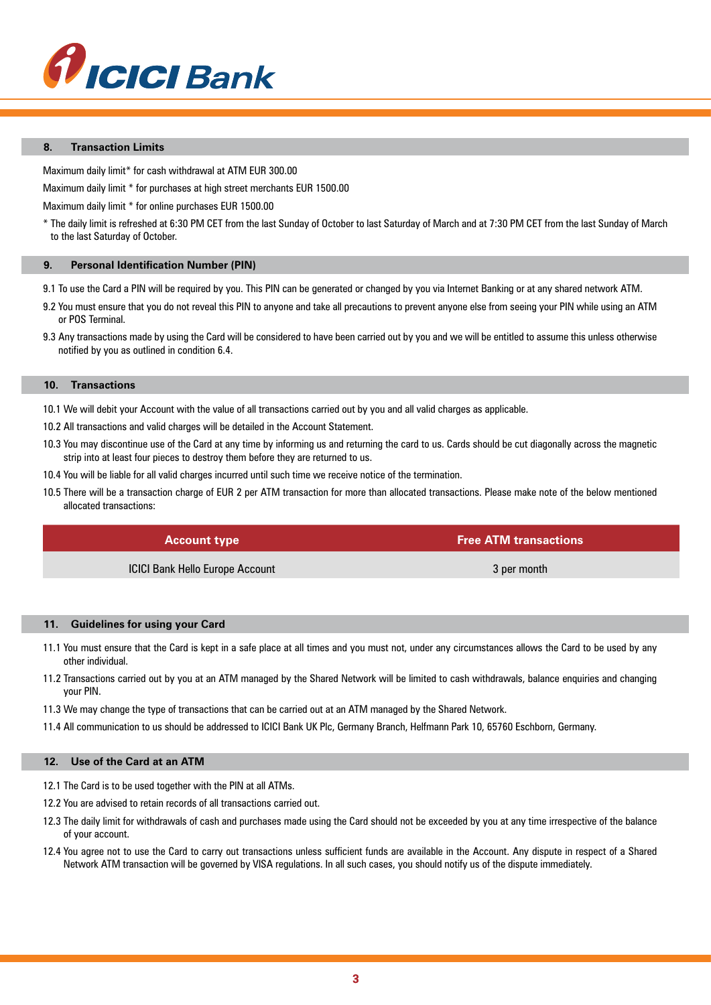

#### **8. Transaction Limits**

Maximum daily limit\* for cash withdrawal at ATM EUR 300.00

Maximum daily limit \* for purchases at high street merchants EUR 1500.00

Maximum daily limit \* for online purchases EUR 1500.00

\* The daily limit is refreshed at 6:30 PM CET from the last Sunday of October to last Saturday of March and at 7:30 PM CET from the last Sunday of March to the last Saturday of October.

#### **9. Personal Identification Number (PIN)**

9.1 To use the Card a PIN will be required by you. This PIN can be generated or changed by you via Internet Banking or at any shared network ATM.

- 9.2 You must ensure that you do not reveal this PIN to anyone and take all precautions to prevent anyone else from seeing your PIN while using an ATM or POS Terminal.
- 9.3 Any transactions made by using the Card will be considered to have been carried out by you and we will be entitled to assume this unless otherwise notified by you as outlined in condition 6.4.

# **10. Transactions**

- 10.1 We will debit your Account with the value of all transactions carried out by you and all valid charges as applicable.
- 10.2 All transactions and valid charges will be detailed in the Account Statement.
- 10.3 You may discontinue use of the Card at any time by informing us and returning the card to us. Cards should be cut diagonally across the magnetic strip into at least four pieces to destroy them before they are returned to us.
- 10.4 You will be liable for all valid charges incurred until such time we receive notice of the termination.
- 10.5 There will be a transaction charge of EUR 2 per ATM transaction for more than allocated transactions. Please make note of the below mentioned allocated transactions:

# **Account type Free ATM transactions**

**ICICI Bank Hello Europe Account** 3 per month

# **11. Guidelines for using your Card**

- 11.1 You must ensure that the Card is kept in a safe place at all times and you must not, under any circumstances allows the Card to be used by any other individual.
- 11.2 Transactions carried out by you at an ATM managed by the Shared Network will be limited to cash withdrawals, balance enquiries and changing your PIN.
- 11.3 We may change the type of transactions that can be carried out at an ATM managed by the Shared Network.
- 11.4 All communication to us should be addressed to ICICI Bank UK Plc, Germany Branch, Helfmann Park 10, 65760 Eschborn, Germany.

# **12. Use of the Card at an ATM**

- 12.1 The Card is to be used together with the PlN at all ATMs.
- 12.2 You are advised to retain records of all transactions carried out.
- 12.3 The daily limit for withdrawals of cash and purchases made using the Card should not be exceeded by you at any time irrespective of the balance of your account.
- 12.4 You agree not to use the Card to carry out transactions unless sufficient funds are available in the Account. Any dispute in respect of a Shared Network ATM transaction will be governed by VISA regulations. In all such cases, you should notify us of the dispute immediately.